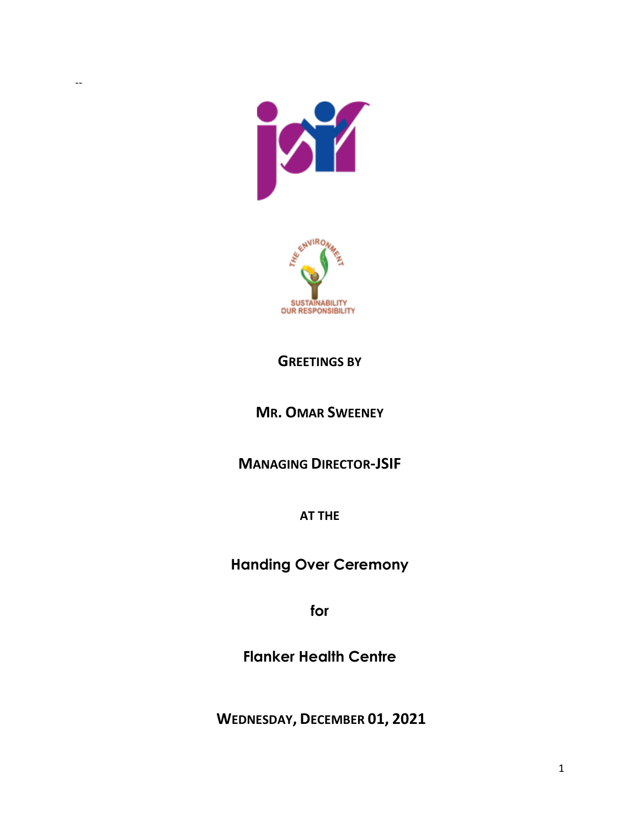



## **GREETINGS BY**

## **MR. OMAR SWEENEY**

**MANAGING DIRECTOR-JSIF**

**AT THE** 

**Handing Over Ceremony**

**for** 

**Flanker Health Centre**

**WEDNESDAY, DECEMBER 01, 2021**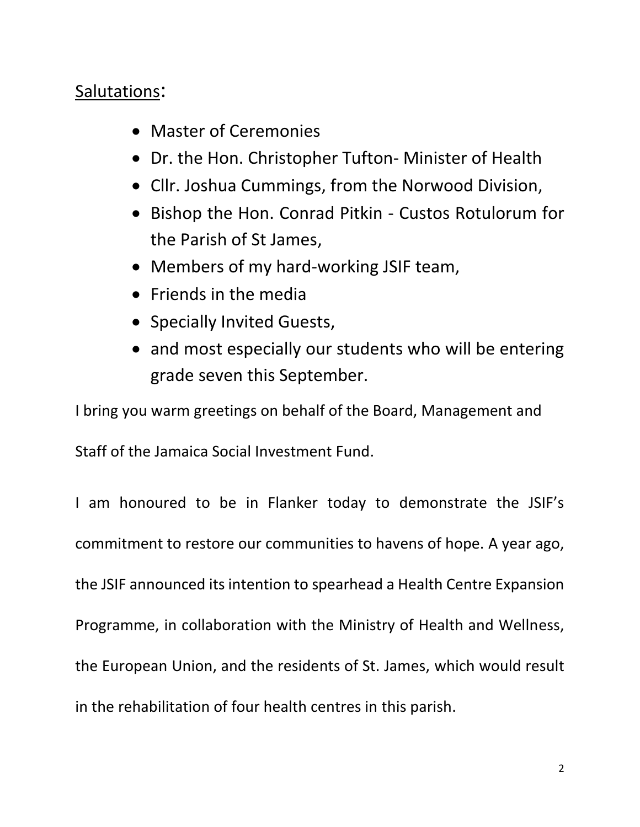## Salutations:

- Master of Ceremonies
- Dr. the Hon. Christopher Tufton- Minister of Health
- Cllr. Joshua Cummings, from the Norwood Division,
- Bishop the Hon. Conrad Pitkin Custos Rotulorum for the Parish of St James,
- Members of my hard-working JSIF team,
- Friends in the media
- Specially Invited Guests,
- and most especially our students who will be entering grade seven this September.

I bring you warm greetings on behalf of the Board, Management and

Staff of the Jamaica Social Investment Fund.

I am honoured to be in Flanker today to demonstrate the JSIF's commitment to restore our communities to havens of hope. A year ago, the JSIF announced its intention to spearhead a Health Centre Expansion Programme, in collaboration with the Ministry of Health and Wellness, the European Union, and the residents of St. James, which would result in the rehabilitation of four health centres in this parish.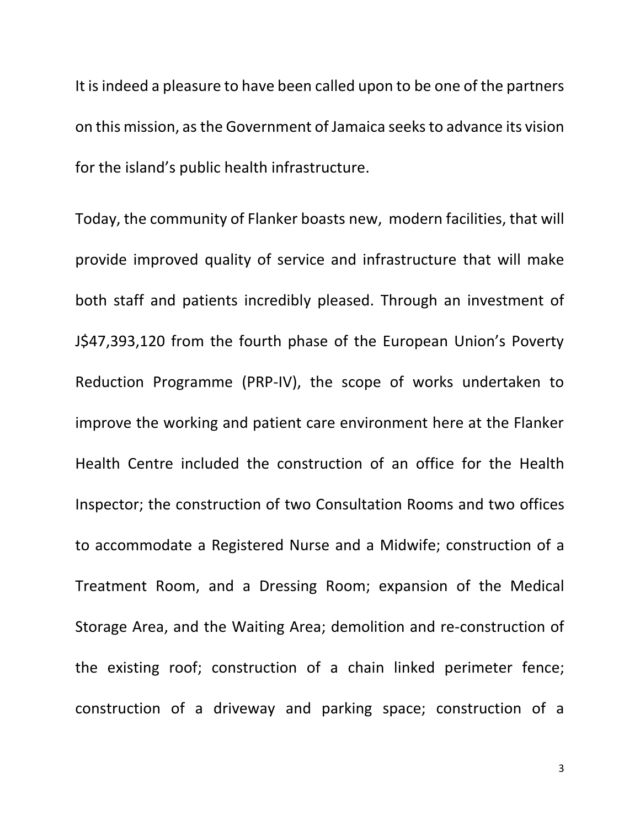It is indeed a pleasure to have been called upon to be one of the partners on this mission, as the Government of Jamaica seeksto advance its vision for the island's public health infrastructure.

Today, the community of Flanker boasts new, modern facilities, that will provide improved quality of service and infrastructure that will make both staff and patients incredibly pleased. Through an investment of J\$47,393,120 from the fourth phase of the European Union's Poverty Reduction Programme (PRP-IV), the scope of works undertaken to improve the working and patient care environment here at the Flanker Health Centre included the construction of an office for the Health Inspector; the construction of two Consultation Rooms and two offices to accommodate a Registered Nurse and a Midwife; construction of a Treatment Room, and a Dressing Room; expansion of the Medical Storage Area, and the Waiting Area; demolition and re-construction of the existing roof; construction of a chain linked perimeter fence; construction of a driveway and parking space; construction of a

3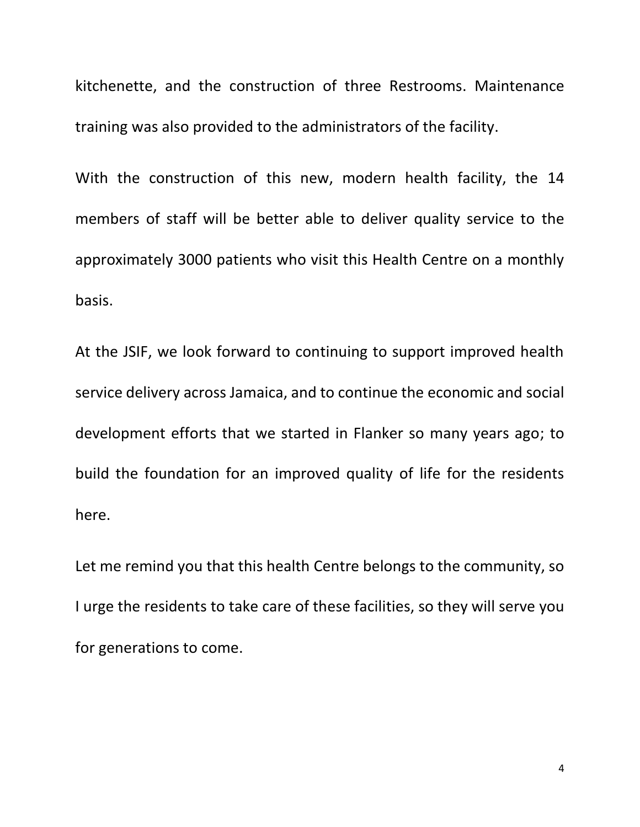kitchenette, and the construction of three Restrooms. Maintenance training was also provided to the administrators of the facility.

With the construction of this new, modern health facility, the 14 members of staff will be better able to deliver quality service to the approximately 3000 patients who visit this Health Centre on a monthly basis.

At the JSIF, we look forward to continuing to support improved health service delivery across Jamaica, and to continue the economic and social development efforts that we started in Flanker so many years ago; to build the foundation for an improved quality of life for the residents here.

Let me remind you that this health Centre belongs to the community, so I urge the residents to take care of these facilities, so they will serve you for generations to come.